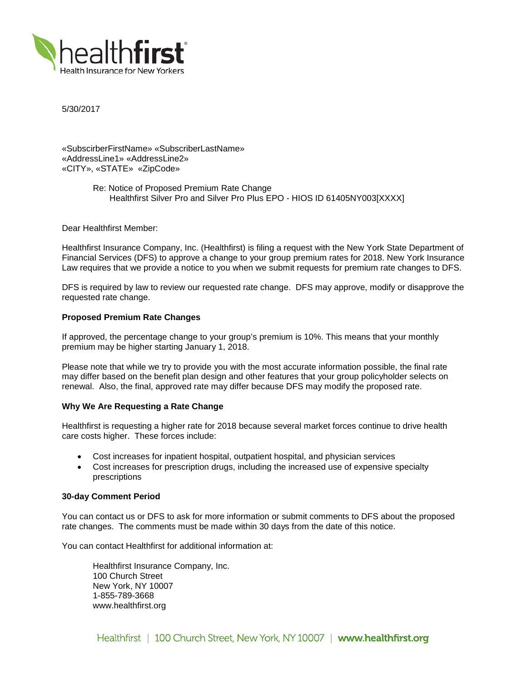

5/30/2017

«SubscirberFirstName» «SubscriberLastName» «AddressLine1» «AddressLine2» «CITY», «STATE» «ZipCode»

> Re: Notice of Proposed Premium Rate Change Healthfirst Silver Pro and Silver Pro Plus EPO - HIOS ID 61405NY003[XXXX]

Dear Healthfirst Member:

Healthfirst Insurance Company, Inc. (Healthfirst) is filing a request with the New York State Department of Financial Services (DFS) to approve a change to your group premium rates for 2018. New York Insurance Law requires that we provide a notice to you when we submit requests for premium rate changes to DFS.

DFS is required by law to review our requested rate change. DFS may approve, modify or disapprove the requested rate change.

## **Proposed Premium Rate Changes**

If approved, the percentage change to your group's premium is 10%. This means that your monthly premium may be higher starting January 1, 2018.

Please note that while we try to provide you with the most accurate information possible, the final rate may differ based on the benefit plan design and other features that your group policyholder selects on renewal. Also, the final, approved rate may differ because DFS may modify the proposed rate.

#### **Why We Are Requesting a Rate Change**

Healthfirst is requesting a higher rate for 2018 because several market forces continue to drive health care costs higher. These forces include:

- Cost increases for inpatient hospital, outpatient hospital, and physician services
- Cost increases for prescription drugs, including the increased use of expensive specialty prescriptions

### **30-day Comment Period**

You can contact us or DFS to ask for more information or submit comments to DFS about the proposed rate changes. The comments must be made within 30 days from the date of this notice.

You can contact Healthfirst for additional information at:

Healthfirst Insurance Company, Inc. 100 Church Street New York, NY 10007 1-855-789-3668 www.healthfirst.org